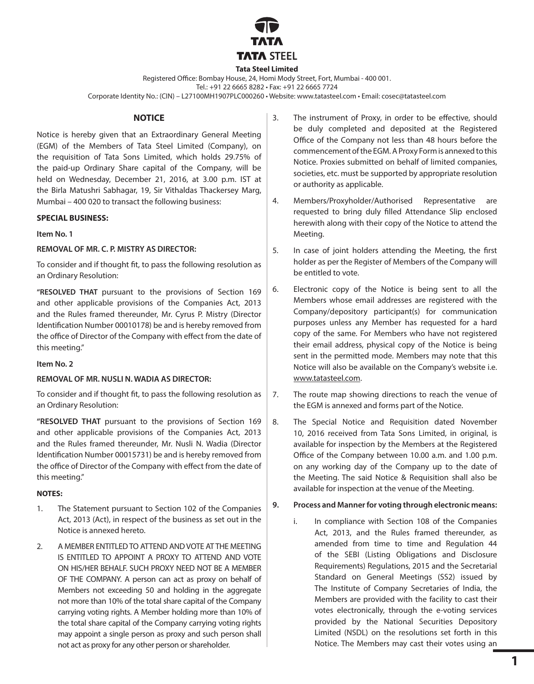

#### **Tata Steel Limited**

Registered Office: Bombay House, 24, Homi Mody Street, Fort, Mumbai - 400 001. Tel.: +91 22 6665 8282 • Fax: +91 22 6665 7724

Corporate Identity No.: (CIN) – L27100MH1907PLC000260 • Website: www.tatasteel.com • Email: cosec@tatasteel.com

#### **NOTICE**

Notice is hereby given that an Extraordinary General Meeting (EGM) of the Members of Tata Steel Limited (Company), on the requisition of Tata Sons Limited, which holds 29.75% of the paid-up Ordinary Share capital of the Company, will be held on Wednesday, December 21, 2016, at 3.00 p.m. IST at the Birla Matushri Sabhagar, 19, Sir Vithaldas Thackersey Marg, Mumbai – 400 020 to transact the following business:

#### **SPECIAL BUSINESS:**

#### **Item No. 1**

### **REMOVAL OF MR. C. P. MISTRY AS DIRECTOR:**

To consider and if thought fit, to pass the following resolution as an Ordinary Resolution:

**"RESOLVED THAT** pursuant to the provisions of Section 169 and other applicable provisions of the Companies Act, 2013 and the Rules framed thereunder, Mr. Cyrus P. Mistry (Director Identification Number 00010178) be and is hereby removed from the office of Director of the Company with effect from the date of this meeting."

#### **Item No. 2**

#### **REMOVAL OF MR. NUSLI N. WADIA AS DIRECTOR:**

To consider and if thought fit, to pass the following resolution as an Ordinary Resolution:

**"RESOLVED THAT** pursuant to the provisions of Section 169 and other applicable provisions of the Companies Act, 2013 and the Rules framed thereunder, Mr. Nusli N. Wadia (Director Identification Number 00015731) be and is hereby removed from the office of Director of the Company with effect from the date of this meeting."

### **NOTES:**

- 1. The Statement pursuant to Section 102 of the Companies Act, 2013 (Act), in respect of the business as set out in the Notice is annexed hereto.
- 2. A MEMBER ENTITLED TO ATTEND AND VOTE AT THE MEETING IS ENTITLED TO APPOINT A PROXY TO ATTEND AND VOTE ON HIS/HER BEHALF. SUCH PROXY NEED NOT BE A MEMBER OF THE COMPANY. A person can act as proxy on behalf of Members not exceeding 50 and holding in the aggregate not more than 10% of the total share capital of the Company carrying voting rights. A Member holding more than 10% of the total share capital of the Company carrying voting rights may appoint a single person as proxy and such person shall not act as proxy for any other person or shareholder.
- 3. The instrument of Proxy, in order to be effective, should be duly completed and deposited at the Registered Office of the Company not less than 48 hours before the commencement of the EGM. A Proxy Form is annexed to this Notice. Proxies submitted on behalf of limited companies, societies, etc. must be supported by appropriate resolution or authority as applicable.
- 4. Members/Proxyholder/Authorised Representative are requested to bring duly filled Attendance Slip enclosed herewith along with their copy of the Notice to attend the Meeting.
- 5. In case of joint holders attending the Meeting, the first holder as per the Register of Members of the Company will be entitled to vote.
- 6. Electronic copy of the Notice is being sent to all the Members whose email addresses are registered with the Company/depository participant(s) for communication purposes unless any Member has requested for a hard copy of the same. For Members who have not registered their email address, physical copy of the Notice is being sent in the permitted mode. Members may note that this Notice will also be available on the Company's website i.e. www.tatasteel.com.
- 7. The route map showing directions to reach the venue of the EGM is annexed and forms part of the Notice.
- 8. The Special Notice and Requisition dated November 10, 2016 received from Tata Sons Limited, in original, is available for inspection by the Members at the Registered Office of the Company between 10.00 a.m. and 1.00 p.m. on any working day of the Company up to the date of the Meeting. The said Notice & Requisition shall also be available for inspection at the venue of the Meeting.
- **9. Process and Manner for voting through electronic means:**
	- i. In compliance with Section 108 of the Companies Act, 2013, and the Rules framed thereunder, as amended from time to time and Regulation 44 of the SEBI (Listing Obligations and Disclosure Requirements) Regulations, 2015 and the Secretarial Standard on General Meetings (SS2) issued by The Institute of Company Secretaries of India, the Members are provided with the facility to cast their votes electronically, through the e-voting services provided by the National Securities Depository Limited (NSDL) on the resolutions set forth in this Notice. The Members may cast their votes using an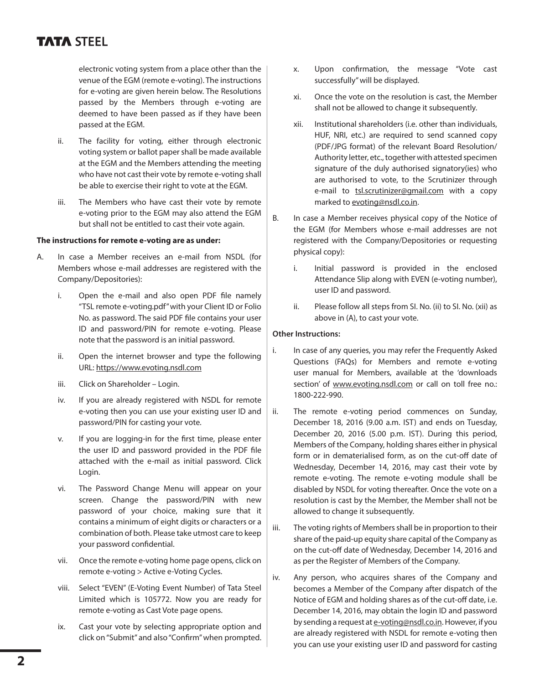# **TATA STEEL**

electronic voting system from a place other than the venue of the EGM (remote e-voting). The instructions for e-voting are given herein below. The Resolutions passed by the Members through e-voting are deemed to have been passed as if they have been passed at the EGM.

- ii. The facility for voting, either through electronic voting system or ballot paper shall be made available at the EGM and the Members attending the meeting who have not cast their vote by remote e-voting shall be able to exercise their right to vote at the EGM.
- iii. The Members who have cast their vote by remote e-voting prior to the EGM may also attend the EGM but shall not be entitled to cast their vote again.

### **The instructions for remote e-voting are as under:**

- A. In case a Member receives an e-mail from NSDL (for Members whose e-mail addresses are registered with the Company/Depositories):
	- i. Open the e-mail and also open PDF file namely "TSL remote e-voting.pdf" with your Client ID or Folio No. as password. The said PDF file contains your user ID and password/PIN for remote e-voting. Please note that the password is an initial password.
	- ii. Open the internet browser and type the following URL: https://www.evoting.nsdl.com
	- iii. Click on Shareholder Login.
	- iv. If you are already registered with NSDL for remote e-voting then you can use your existing user ID and password/PIN for casting your vote.
	- v. If you are logging-in for the first time, please enter the user ID and password provided in the PDF file attached with the e-mail as initial password. Click Login.
	- vi. The Password Change Menu will appear on your screen. Change the password/PIN with new password of your choice, making sure that it contains a minimum of eight digits or characters or a combination of both. Please take utmost care to keep your password confidential.
	- vii. Once the remote e-voting home page opens, click on remote e-voting > Active e-Voting Cycles.
	- viii. Select "EVEN" (E-Voting Event Number) of Tata Steel Limited which is 105772. Now you are ready for remote e-voting as Cast Vote page opens.
	- ix. Cast your vote by selecting appropriate option and click on "Submit" and also "Confirm" when prompted.
- x. Upon confirmation, the message "Vote cast successfully" will be displayed.
- xi. Once the vote on the resolution is cast, the Member shall not be allowed to change it subsequently.
- xii. Institutional shareholders (i.e. other than individuals, HUF, NRI, etc.) are required to send scanned copy (PDF/JPG format) of the relevant Board Resolution/ Authority letter, etc., together with attested specimen signature of the duly authorised signatory(ies) who are authorised to vote, to the Scrutinizer through e-mail to **tsl.scrutinizer@gmail.com** with a copy marked to evoting@nsdl.co.in.
- B. In case a Member receives physical copy of the Notice of the EGM (for Members whose e-mail addresses are not registered with the Company/Depositories or requesting physical copy):
	- i. Initial password is provided in the enclosed Attendance Slip along with EVEN (e-voting number), user ID and password.
	- ii. Please follow all steps from SI. No. (ii) to SI. No. (xii) as above in (A), to cast your vote.

# **Other Instructions:**

- i. In case of any queries, you may refer the Frequently Asked Questions (FAQs) for Members and remote e-voting user manual for Members, available at the 'downloads section' of www.evoting.nsdl.com or call on toll free no.: 1800-222-990.
- ii. The remote e-voting period commences on Sunday, December 18, 2016 (9.00 a.m. IST) and ends on Tuesday, December 20, 2016 (5.00 p.m. IST). During this period, Members of the Company, holding shares either in physical form or in dematerialised form, as on the cut-off date of Wednesday, December 14, 2016, may cast their vote by remote e-voting. The remote e-voting module shall be disabled by NSDL for voting thereafter. Once the vote on a resolution is cast by the Member, the Member shall not be allowed to change it subsequently.
- iii. The voting rights of Members shall be in proportion to their share of the paid-up equity share capital of the Company as on the cut-off date of Wednesday, December 14, 2016 and as per the Register of Members of the Company.
- iv. Any person, who acquires shares of the Company and becomes a Member of the Company after dispatch of the Notice of EGM and holding shares as of the cut-off date, i.e. December 14, 2016, may obtain the login ID and password by sending a request at e-voting@nsdl.co.in. However, if you are already registered with NSDL for remote e-voting then you can use your existing user ID and password for casting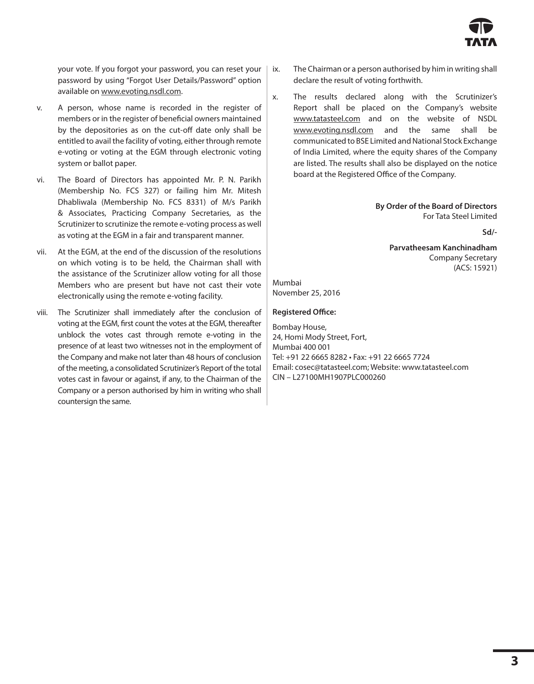

your vote. If you forgot your password, you can reset your password by using "Forgot User Details/Password" option available on www.evoting.nsdl.com.

- v. A person, whose name is recorded in the register of members or in the register of beneficial owners maintained by the depositories as on the cut-off date only shall be entitled to avail the facility of voting, either through remote e-voting or voting at the EGM through electronic voting system or ballot paper.
- vi. The Board of Directors has appointed Mr. P. N. Parikh (Membership No. FCS 327) or failing him Mr. Mitesh Dhabliwala (Membership No. FCS 8331) of M/s Parikh & Associates, Practicing Company Secretaries, as the Scrutinizer to scrutinize the remote e-voting process as well as voting at the EGM in a fair and transparent manner.
- vii. At the EGM, at the end of the discussion of the resolutions on which voting is to be held, the Chairman shall with the assistance of the Scrutinizer allow voting for all those Members who are present but have not cast their vote electronically using the remote e-voting facility.
- viii. The Scrutinizer shall immediately after the conclusion of voting at the EGM, first count the votes at the EGM, thereafter unblock the votes cast through remote e-voting in the presence of at least two witnesses not in the employment of the Company and make not later than 48 hours of conclusion of the meeting, a consolidated Scrutinizer's Report of the total votes cast in favour or against, if any, to the Chairman of the Company or a person authorised by him in writing who shall countersign the same.
- ix. The Chairman or a person authorised by him in writing shall declare the result of voting forthwith.
- x. The results declared along with the Scrutinizer's Report shall be placed on the Company's website www.tatasteel.com and on the website of NSDL www.evoting.nsdl.com and the same shall be communicated to BSE Limited and National Stock Exchange of India Limited, where the equity shares of the Company are listed. The results shall also be displayed on the notice board at the Registered Office of the Company.

**By Order of the Board of Directors** For Tata Steel Limited

**Sd/-**

**Parvatheesam Kanchinadham** Company Secretary (ACS: 15921)

# Mumbai November 25, 2016

### **Registered Office:**

Bombay House, 24, Homi Mody Street, Fort, Mumbai 400 001 Tel: +91 22 6665 8282 • Fax: +91 22 6665 7724 Email: cosec@tatasteel.com; Website: www.tatasteel.com CIN – L27100MH1907PLC000260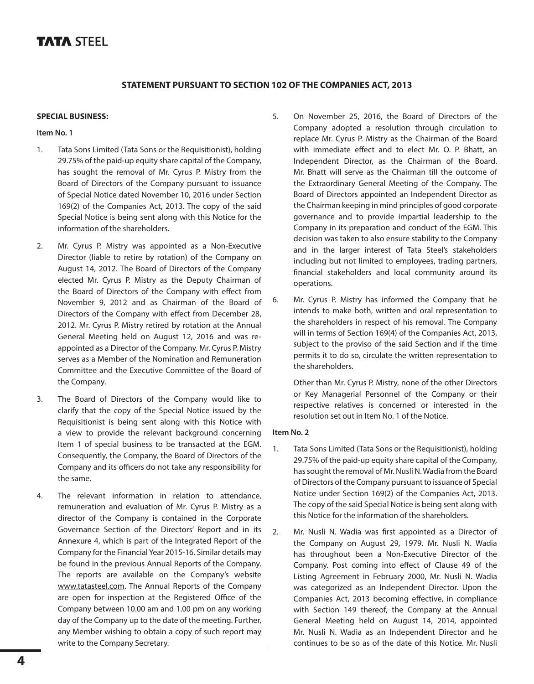# **TATA STEEL**

# **STATEMENT PURSUANT TO SECTION 102 OF THE COMPANIES ACT, 2013**

#### **SPECIAL BUSINESS:**

### **Item No. 1**

- 1. Tata Sons Limited (Tata Sons or the Requisitionist), holding 29.75% of the paid-up equity share capital of the Company, has sought the removal of Mr. Cyrus P. Mistry from the Board of Directors of the Company pursuant to issuance of Special Notice dated November 10, 2016 under Section 169(2) of the Companies Act, 2013. The copy of the said Special Notice is being sent along with this Notice for the information of the shareholders.
- 2. Mr. Cyrus P. Mistry was appointed as a Non-Executive Director (liable to retire by rotation) of the Company on August 14, 2012. The Board of Directors of the Company elected Mr. Cyrus P. Mistry as the Deputy Chairman of the Board of Directors of the Company with effect from November 9, 2012 and as Chairman of the Board of Directors of the Company with effect from December 28, 2012. Mr. Cyrus P. Mistry retired by rotation at the Annual General Meeting held on August 12, 2016 and was reappointed as a Director of the Company. Mr. Cyrus P. Mistry serves as a Member of the Nomination and Remuneration Committee and the Executive Committee of the Board of the Company.
- 3. The Board of Directors of the Company would like to clarify that the copy of the Special Notice issued by the Requisitionist is being sent along with this Notice with a view to provide the relevant background concerning Item 1 of special business to be transacted at the EGM. Consequently, the Company, the Board of Directors of the Company and its officers do not take any responsibility for the same.
- 4. The relevant information in relation to attendance, remuneration and evaluation of Mr. Cyrus P. Mistry as a director of the Company is contained in the Corporate Governance Section of the Directors' Report and in its Annexure 4, which is part of the Integrated Report of the Company for the Financial Year 2015-16. Similar details may be found in the previous Annual Reports of the Company. The reports are available on the Company's website www.tatasteel.com. The Annual Reports of the Company are open for inspection at the Registered Office of the Company between 10.00 am and 1.00 pm on any working day of the Company up to the date of the meeting. Further, any Member wishing to obtain a copy of such report may write to the Company Secretary.
- 5. On November 25, 2016, the Board of Directors of the Company adopted a resolution through circulation to replace Mr. Cyrus P. Mistry as the Chairman of the Board with immediate effect and to elect Mr. O. P. Bhatt, an Independent Director, as the Chairman of the Board. Mr. Bhatt will serve as the Chairman till the outcome of the Extraordinary General Meeting of the Company. The Board of Directors appointed an Independent Director as the Chairman keeping in mind principles of good corporate governance and to provide impartial leadership to the Company in its preparation and conduct of the EGM. This decision was taken to also ensure stability to the Company and in the larger interest of Tata Steel's stakeholders including but not limited to employees, trading partners, financial stakeholders and local community around its operations.
- 6. Mr. Cyrus P. Mistry has informed the Company that he intends to make both, written and oral representation to the shareholders in respect of his removal. The Company will in terms of Section 169(4) of the Companies Act, 2013, subject to the proviso of the said Section and if the time permits it to do so, circulate the written representation to the shareholders.

Other than Mr. Cyrus P. Mistry, none of the other Directors or Key Managerial Personnel of the Company or their respective relatives is concerned or interested in the resolution set out in Item No. 1 of the Notice.

### **Item No. 2**

- 1. Tata Sons Limited (Tata Sons or the Requisitionist), holding 29.75% of the paid-up equity share capital of the Company, has sought the removal of Mr. Nusli N. Wadia from the Board of Directors of the Company pursuant to issuance of Special Notice under Section 169(2) of the Companies Act, 2013. The copy of the said Special Notice is being sent along with this Notice for the information of the shareholders.
- 2. Mr. Nusli N. Wadia was first appointed as a Director of the Company on August 29, 1979. Mr. Nusli N. Wadia has throughout been a Non-Executive Director of the Company. Post coming into effect of Clause 49 of the Listing Agreement in February 2000, Mr. Nusli N. Wadia was categorized as an Independent Director. Upon the Companies Act, 2013 becoming effective, in compliance with Section 149 thereof, the Company at the Annual General Meeting held on August 14, 2014, appointed Mr. Nusli N. Wadia as an Independent Director and he continues to be so as of the date of this Notice. Mr. Nusli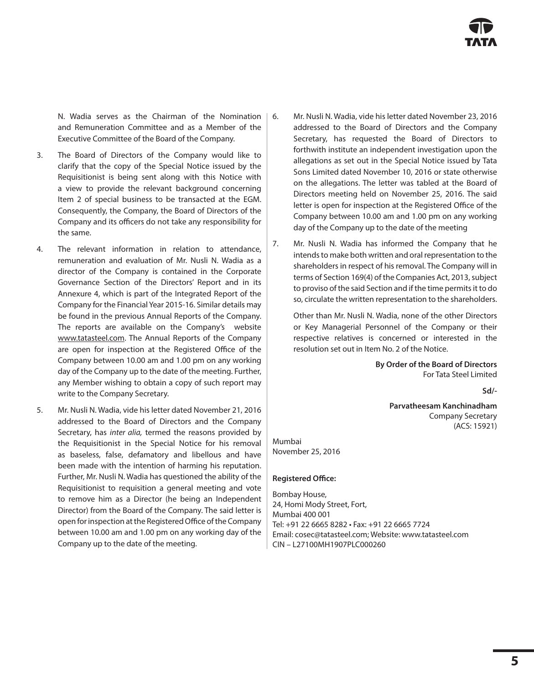N. Wadia serves as the Chairman of the Nomination and Remuneration Committee and as a Member of the Executive Committee of the Board of the Company.

- 3. The Board of Directors of the Company would like to clarify that the copy of the Special Notice issued by the Requisitionist is being sent along with this Notice with a view to provide the relevant background concerning Item 2 of special business to be transacted at the EGM. Consequently, the Company, the Board of Directors of the Company and its officers do not take any responsibility for the same.
- 4. The relevant information in relation to attendance, remuneration and evaluation of Mr. Nusli N. Wadia as a director of the Company is contained in the Corporate Governance Section of the Directors' Report and in its Annexure 4, which is part of the Integrated Report of the Company for the Financial Year 2015-16. Similar details may be found in the previous Annual Reports of the Company. The reports are available on the Company's website www.tatasteel.com. The Annual Reports of the Company are open for inspection at the Registered Office of the Company between 10.00 am and 1.00 pm on any working day of the Company up to the date of the meeting. Further, any Member wishing to obtain a copy of such report may write to the Company Secretary.
- 5. Mr. Nusli N. Wadia, vide his letter dated November 21, 2016 addressed to the Board of Directors and the Company Secretary, has *inter alia,* termed the reasons provided by the Requisitionist in the Special Notice for his removal as baseless, false, defamatory and libellous and have been made with the intention of harming his reputation. Further, Mr. Nusli N. Wadia has questioned the ability of the Requisitionist to requisition a general meeting and vote to remove him as a Director (he being an Independent Director) from the Board of the Company. The said letter is open for inspection at the Registered Office of the Company between 10.00 am and 1.00 pm on any working day of the Company up to the date of the meeting.
- 6. Mr. Nusli N. Wadia, vide his letter dated November 23, 2016 addressed to the Board of Directors and the Company Secretary, has requested the Board of Directors to forthwith institute an independent investigation upon the allegations as set out in the Special Notice issued by Tata Sons Limited dated November 10, 2016 or state otherwise on the allegations. The letter was tabled at the Board of Directors meeting held on November 25, 2016. The said letter is open for inspection at the Registered Office of the Company between 10.00 am and 1.00 pm on any working day of the Company up to the date of the meeting
- 7. Mr. Nusli N. Wadia has informed the Company that he intends to make both written and oral representation to the shareholders in respect of his removal. The Company will in terms of Section 169(4) of the Companies Act, 2013, subject to proviso of the said Section and if the time permits it to do so, circulate the written representation to the shareholders.

Other than Mr. Nusli N. Wadia, none of the other Directors or Key Managerial Personnel of the Company or their respective relatives is concerned or interested in the resolution set out in Item No. 2 of the Notice.

> **By Order of the Board of Directors** For Tata Steel Limited

> > **Sd/-**

 **Parvatheesam Kanchinadham** Company Secretary (ACS: 15921)

Mumbai November 25, 2016

## **Registered Office:**

Bombay House, 24, Homi Mody Street, Fort, Mumbai 400 001 Tel: +91 22 6665 8282 • Fax: +91 22 6665 7724 Email: cosec@tatasteel.com; Website: www.tatasteel.com CIN – L27100MH1907PLC000260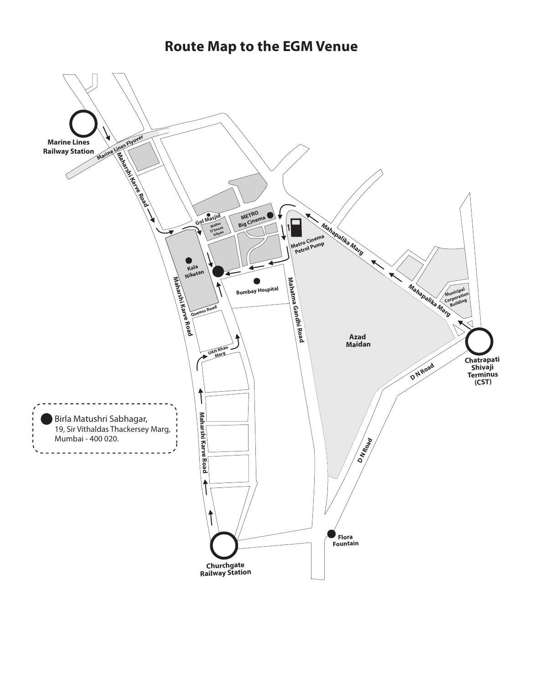**Route Map to the EGM Venue**

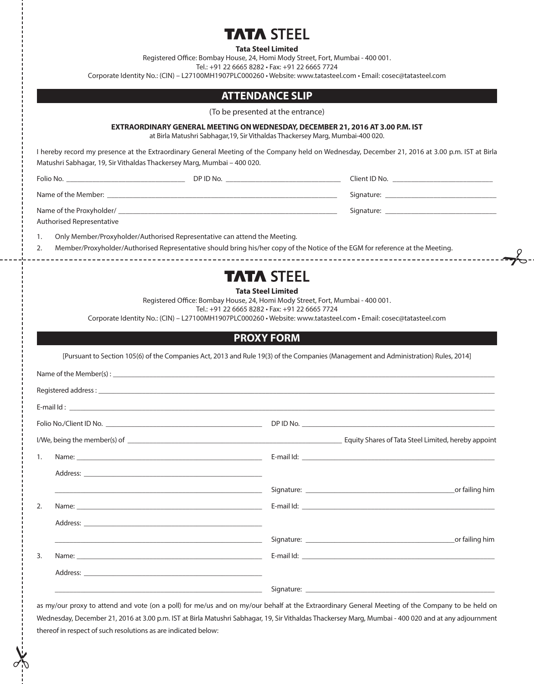# **TA STEEL**

**Tata Steel Limited**

Registered Office: Bombay House, 24, Homi Mody Street, Fort, Mumbai - 400 001.

Tel.: +91 22 6665 8282 • Fax: +91 22 6665 7724

Corporate Identity No.: (CIN) – L27100MH1907PLC000260 • Website: www.tatasteel.com • Email: cosec@tatasteel.com

# **ATTENDANCE SLIP**

(To be presented at the entrance)

#### **EXTRAORDINARY GENERAL MEETING ON WEDNESDAY, DECEMBER 21, 2016 AT 3.00 P.M. IST**

at Birla Matushri Sabhagar,19, Sir Vithaldas Thackersey Marg, Mumbai-400 020.

I hereby record my presence at the Extraordinary General Meeting of the Company held on Wednesday, December 21, 2016 at 3.00 p.m. IST at Birla Matushri Sabhagar, 19, Sir Vithaldas Thackersey Marg, Mumbai – 400 020.

Folio No. \_\_\_\_\_\_\_\_\_\_\_\_\_\_\_\_\_\_\_\_\_\_\_\_\_\_\_\_\_\_\_\_ DP ID No. \_\_\_\_\_\_\_\_\_\_\_\_\_\_\_\_\_\_\_\_\_\_\_\_\_\_\_\_\_\_\_ Client ID No. \_\_\_\_\_\_\_\_\_\_\_\_\_\_\_\_\_\_\_\_\_\_\_\_\_\_\_

Name of the Member: \_\_\_\_\_\_\_\_\_\_\_\_\_\_\_\_\_\_\_\_\_\_\_\_\_\_\_\_\_\_\_\_\_\_\_\_\_\_\_\_\_\_\_\_\_\_\_\_\_\_\_\_\_\_\_\_\_\_\_\_\_\_ Signature: \_\_\_\_\_\_\_\_\_\_\_\_\_\_\_\_\_\_\_\_\_\_\_\_\_\_\_\_\_\_

Name of the Proxyholder/ \_\_\_\_\_\_\_\_\_\_\_\_\_\_\_\_\_\_\_\_\_\_\_\_\_\_\_\_\_\_\_\_\_\_\_\_\_\_\_\_\_\_\_\_\_\_\_\_\_\_\_\_\_\_\_\_\_\_\_ Signature: \_\_\_\_\_\_\_\_\_\_\_\_\_\_\_\_\_\_\_\_\_\_\_\_\_\_\_\_\_\_

Authorised Representative

1. Only Member/Proxyholder/Authorised Representative can attend the Meeting.

2. Member/Proxyholder/Authorised Representative should bring his/her copy of the Notice of the EGM for reference at the Meeting.

# **TATA STEEL**

 $\rightarrow \rightarrow$ 

**Tata Steel Limited**

Registered Office: Bombay House, 24, Homi Mody Street, Fort, Mumbai - 400 001.

Tel.: +91 22 6665 8282 • Fax: +91 22 6665 7724

Corporate Identity No.: (CIN) – L27100MH1907PLC000260 • Website: www.tatasteel.com • Email: cosec@tatasteel.com

# **PROXY FORM**

[Pursuant to Section 105(6) of the Companies Act, 2013 and Rule 19(3) of the Companies (Management and Administration) Rules, 2014]

| 1. | Name: Name: Name: Name: Name: Name: Name: Name: Name: Name: Name: Name: Name: Name: Name: Name: Name: Name: Name: Name: Name: Name: Name: Name: Name: Name: Name: Name: Name: Name: Name: Name: Name: Name: Name: Name: Name: |  |
|----|-------------------------------------------------------------------------------------------------------------------------------------------------------------------------------------------------------------------------------|--|
|    |                                                                                                                                                                                                                               |  |
|    | <u> 1980 - Johann Stoff, amerikansk politiker (d. 1980)</u>                                                                                                                                                                   |  |
| 2. |                                                                                                                                                                                                                               |  |
|    |                                                                                                                                                                                                                               |  |
|    | <u> 1989 - Johann Barn, fransk politik (d. 1989)</u>                                                                                                                                                                          |  |
| 3. |                                                                                                                                                                                                                               |  |
|    |                                                                                                                                                                                                                               |  |
|    | the control of the control of the control of the control of the control of the control of                                                                                                                                     |  |

as my/our proxy to attend and vote (on a poll) for me/us and on my/our behalf at the Extraordinary General Meeting of the Company to be held on Wednesday, December 21, 2016 at 3.00 p.m. IST at Birla Matushri Sabhagar, 19, Sir Vithaldas Thackersey Marg, Mumbai - 400 020 and at any adjournment thereof in respect of such resolutions as are indicated below: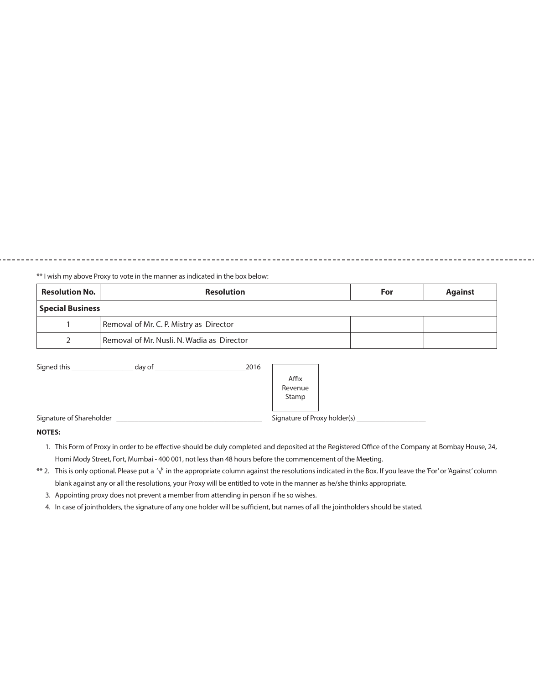\*\* I wish my above Proxy to vote in the manner as indicated in the box below:

| <b>Resolution No.</b>   | <b>Resolution</b>                          | For | <b>Against</b> |  |
|-------------------------|--------------------------------------------|-----|----------------|--|
| <b>Special Business</b> |                                            |     |                |  |
|                         | Removal of Mr. C. P. Mistry as Director    |     |                |  |
|                         | Removal of Mr. Nusli, N. Wadia as Director |     |                |  |

-------------

| Signed this                          | day of | 2016                         |  |
|--------------------------------------|--------|------------------------------|--|
|                                      |        | Affix<br>Revenue<br>Stamp    |  |
| Signature of Shareholder<br>$\cdots$ |        | Signature of Proxy holder(s) |  |

#### **NOTES:**

- 1. This Form of Proxy in order to be effective should be duly completed and deposited at the Registered Office of the Company at Bombay House, 24, Homi Mody Street, Fort, Mumbai - 400 001, not less than 48 hours before the commencement of the Meeting.
- \*\* 2. This is only optional. Please put a '√' in the appropriate column against the resolutions indicated in the Box. If you leave the 'For' or 'Against' column blank against any or all the resolutions, your Proxy will be entitled to vote in the manner as he/she thinks appropriate.
	- 3. Appointing proxy does not prevent a member from attending in person if he so wishes.
	- 4. In case of jointholders, the signature of any one holder will be sufficient, but names of all the jointholders should be stated.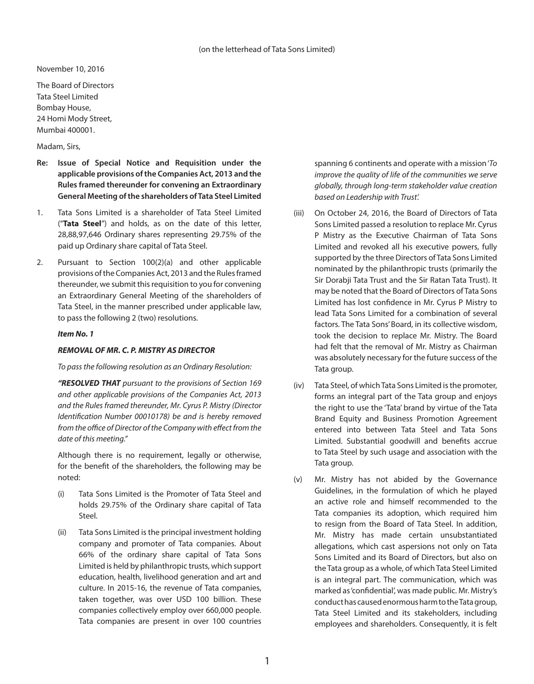November 10, 2016

The Board of Directors Tata Steel Limited Bombay House, 24 Homi Mody Street, Mumbai 400001.

Madam, Sirs,

- **Re: Issue of Special Notice and Requisition under the applicable provisions of the Companies Act, 2013 and the Rules framed thereunder for convening an Extraordinary General Meeting of the shareholders of Tata Steel Limited**
- 1. Tata Sons Limited is a shareholder of Tata Steel Limited ("**Tata Steel**") and holds, as on the date of this letter, 28,88,97,646 Ordinary shares representing 29.75% of the paid up Ordinary share capital of Tata Steel.
- 2. Pursuant to Section 100(2)(a) and other applicable provisions of the Companies Act, 2013 and the Rules framed thereunder, we submit this requisition to you for convening an Extraordinary General Meeting of the shareholders of Tata Steel, in the manner prescribed under applicable law, to pass the following 2 (two) resolutions.

### *Item No. 1*

## *REMOVAL OF MR. C. P. MISTRY AS DIRECTOR*

*To pass the following resolution as an Ordinary Resolution:*

 *"RESOLVED THAT pursuant to the provisions of Section 169 and other applicable provisions of the Companies Act, 2013 and the Rules framed thereunder, Mr. Cyrus P. Mistry (Director Identification Number 00010178) be and is hereby removed from the office of Director of the Company with effect from the date of this meeting."*

Although there is no requirement, legally or otherwise, for the benefit of the shareholders, the following may be noted:

- (i) Tata Sons Limited is the Promoter of Tata Steel and holds 29.75% of the Ordinary share capital of Tata Steel.
- (ii) Tata Sons Limited is the principal investment holding company and promoter of Tata companies. About 66% of the ordinary share capital of Tata Sons Limited is held by philanthropic trusts, which support education, health, livelihood generation and art and culture. In 2015-16, the revenue of Tata companies, taken together, was over USD 100 billion. These companies collectively employ over 660,000 people. Tata companies are present in over 100 countries

spanning 6 continents and operate with a mission '*To improve the quality of life of the communities we serve globally, through long-term stakeholder value creation based on Leadership with Trust'.* 

- (iii) On October 24, 2016, the Board of Directors of Tata Sons Limited passed a resolution to replace Mr. Cyrus P Mistry as the Executive Chairman of Tata Sons Limited and revoked all his executive powers, fully supported by the three Directors of Tata Sons Limited nominated by the philanthropic trusts (primarily the Sir Dorabji Tata Trust and the Sir Ratan Tata Trust). It may be noted that the Board of Directors of Tata Sons Limited has lost confidence in Mr. Cyrus P Mistry to lead Tata Sons Limited for a combination of several factors. The Tata Sons' Board, in its collective wisdom, took the decision to replace Mr. Mistry. The Board had felt that the removal of Mr. Mistry as Chairman was absolutely necessary for the future success of the Tata group.
- (iv) Tata Steel, of which Tata Sons Limited is the promoter, forms an integral part of the Tata group and enjoys the right to use the 'Tata' brand by virtue of the Tata Brand Equity and Business Promotion Agreement entered into between Tata Steel and Tata Sons Limited. Substantial goodwill and benefits accrue to Tata Steel by such usage and association with the Tata group.
- (v) Mr. Mistry has not abided by the Governance Guidelines, in the formulation of which he played an active role and himself recommended to the Tata companies its adoption, which required him to resign from the Board of Tata Steel. In addition, Mr. Mistry has made certain unsubstantiated allegations, which cast aspersions not only on Tata Sons Limited and its Board of Directors, but also on the Tata group as a whole, of which Tata Steel Limited is an integral part. The communication, which was marked as 'confidential', was made public. Mr. Mistry's conduct has caused enormous harm to the Tata group, Tata Steel Limited and its stakeholders, including employees and shareholders. Consequently, it is felt